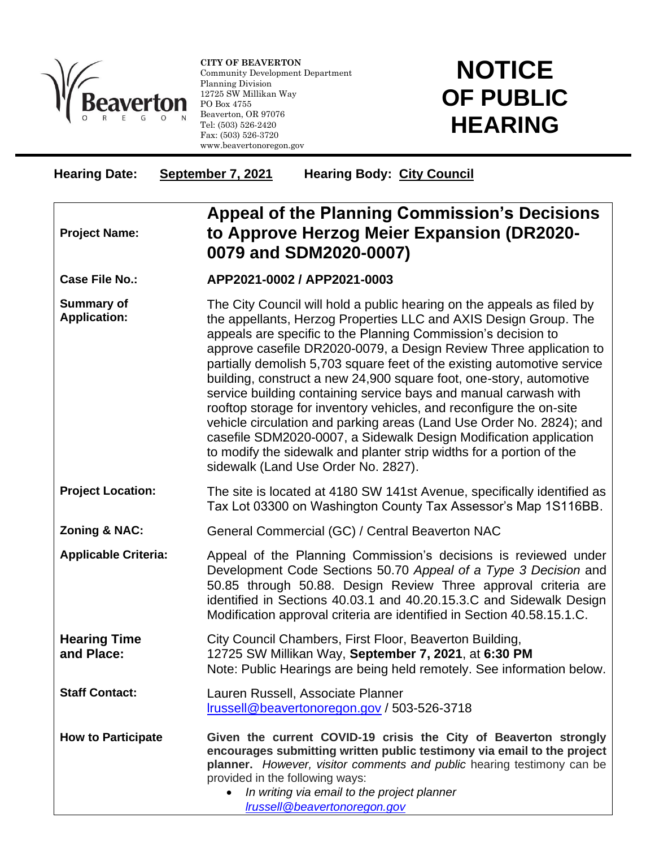

l

**CITY OF BEAVERTON** Community Development Department Planning Division 12725 SW Millikan Way PO Box 4755 Beaverton, OR 97076 Tel: (503) 526-2420 Fax: (503) 526-3720 www.beavertonoregon.gov

## **NOTICE OF PUBLIC HEARING**

| <b>Hearing Date:</b>                     | September 7, 2021<br><b>Hearing Body: City Council</b>                                                                                                                                                                                                                                                                                                                                                                                                                                                                                                                                                                                                                                                                                                                                                                                     |
|------------------------------------------|--------------------------------------------------------------------------------------------------------------------------------------------------------------------------------------------------------------------------------------------------------------------------------------------------------------------------------------------------------------------------------------------------------------------------------------------------------------------------------------------------------------------------------------------------------------------------------------------------------------------------------------------------------------------------------------------------------------------------------------------------------------------------------------------------------------------------------------------|
| <b>Project Name:</b>                     | <b>Appeal of the Planning Commission's Decisions</b><br>to Approve Herzog Meier Expansion (DR2020-<br>0079 and SDM2020-0007)                                                                                                                                                                                                                                                                                                                                                                                                                                                                                                                                                                                                                                                                                                               |
| <b>Case File No.:</b>                    | APP2021-0002 / APP2021-0003                                                                                                                                                                                                                                                                                                                                                                                                                                                                                                                                                                                                                                                                                                                                                                                                                |
| <b>Summary of</b><br><b>Application:</b> | The City Council will hold a public hearing on the appeals as filed by<br>the appellants, Herzog Properties LLC and AXIS Design Group. The<br>appeals are specific to the Planning Commission's decision to<br>approve casefile DR2020-0079, a Design Review Three application to<br>partially demolish 5,703 square feet of the existing automotive service<br>building, construct a new 24,900 square foot, one-story, automotive<br>service building containing service bays and manual carwash with<br>rooftop storage for inventory vehicles, and reconfigure the on-site<br>vehicle circulation and parking areas (Land Use Order No. 2824); and<br>casefile SDM2020-0007, a Sidewalk Design Modification application<br>to modify the sidewalk and planter strip widths for a portion of the<br>sidewalk (Land Use Order No. 2827). |
| <b>Project Location:</b>                 | The site is located at 4180 SW 141st Avenue, specifically identified as<br>Tax Lot 03300 on Washington County Tax Assessor's Map 1S116BB.                                                                                                                                                                                                                                                                                                                                                                                                                                                                                                                                                                                                                                                                                                  |
| <b>Zoning &amp; NAC:</b>                 | General Commercial (GC) / Central Beaverton NAC                                                                                                                                                                                                                                                                                                                                                                                                                                                                                                                                                                                                                                                                                                                                                                                            |
| <b>Applicable Criteria:</b>              | Appeal of the Planning Commission's decisions is reviewed under<br>Development Code Sections 50.70 Appeal of a Type 3 Decision and<br>50.85 through 50.88. Design Review Three approval criteria are<br>identified in Sections 40.03.1 and 40.20.15.3.C and Sidewalk Design<br>Modification approval criteria are identified in Section 40.58.15.1.C.                                                                                                                                                                                                                                                                                                                                                                                                                                                                                      |
| <b>Hearing Time</b><br>and Place:        | City Council Chambers, First Floor, Beaverton Building,<br>12725 SW Millikan Way, September 7, 2021, at 6:30 PM<br>Note: Public Hearings are being held remotely. See information below.                                                                                                                                                                                                                                                                                                                                                                                                                                                                                                                                                                                                                                                   |
| <b>Staff Contact:</b>                    | Lauren Russell, Associate Planner<br>Irussell@beavertonoregon.gov / 503-526-3718                                                                                                                                                                                                                                                                                                                                                                                                                                                                                                                                                                                                                                                                                                                                                           |
| <b>How to Participate</b>                | Given the current COVID-19 crisis the City of Beaverton strongly<br>encourages submitting written public testimony via email to the project<br>planner. However, visitor comments and public hearing testimony can be<br>provided in the following ways:<br>In writing via email to the project planner<br>$\bullet$<br>Irussell@beavertonoregon.gov                                                                                                                                                                                                                                                                                                                                                                                                                                                                                       |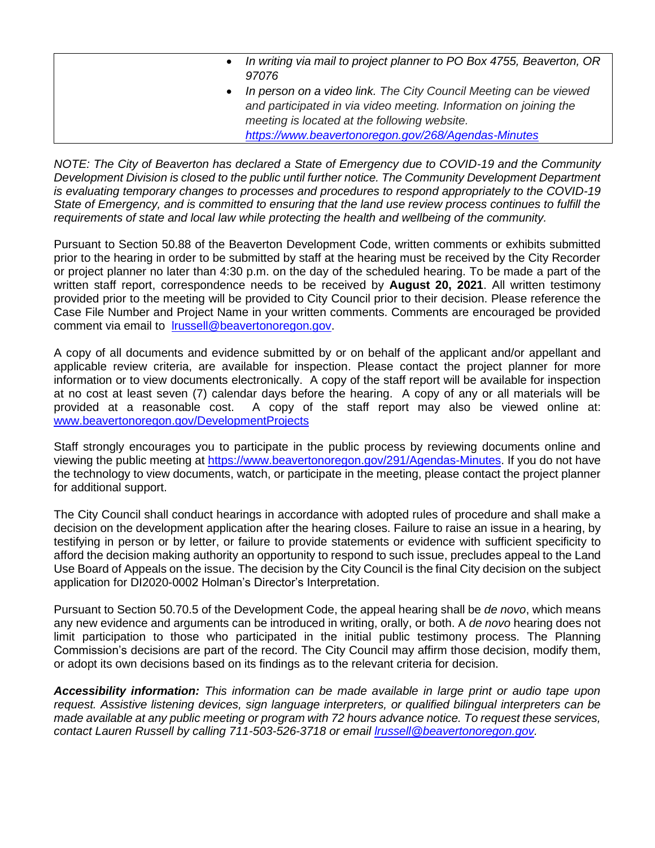|           | • In writing via mail to project planner to PO Box 4755, Beaverton, OR |
|-----------|------------------------------------------------------------------------|
|           | 97076                                                                  |
| $\bullet$ | In person on a video link. The City Council Meeting can be viewed      |
|           | and participated in via video meeting. Information on joining the      |
|           | meeting is located at the following website.                           |
|           | https://www.beavertonoregon.gov/268/Agendas-Minutes                    |

*NOTE: The City of Beaverton has declared a State of Emergency due to COVID-19 and the Community Development Division is closed to the public until further notice. The Community Development Department is evaluating temporary changes to processes and procedures to respond appropriately to the COVID-19 State of Emergency, and is committed to ensuring that the land use review process continues to fulfill the requirements of state and local law while protecting the health and wellbeing of the community.*

Pursuant to Section 50.88 of the Beaverton Development Code, written comments or exhibits submitted prior to the hearing in order to be submitted by staff at the hearing must be received by the City Recorder or project planner no later than 4:30 p.m. on the day of the scheduled hearing. To be made a part of the written staff report, correspondence needs to be received by **August 20, 2021**. All written testimony provided prior to the meeting will be provided to City Council prior to their decision. Please reference the Case File Number and Project Name in your written comments. Comments are encouraged be provided comment via email to [lrussell@beavertonoregon.gov.](mailto:lrussell@beavertonoregon.gov)

A copy of all documents and evidence submitted by or on behalf of the applicant and/or appellant and applicable review criteria, are available for inspection. Please contact the project planner for more information or to view documents electronically. A copy of the staff report will be available for inspection at no cost at least seven (7) calendar days before the hearing. A copy of any or all materials will be provided at a reasonable cost. A copy of the staff report may also be viewed online at: [www.beavertonoregon.gov/DevelopmentProjects](http://www.beavertonoregon.gov/DevelopmentProjects)

Staff strongly encourages you to participate in the public process by reviewing documents online and viewing the public meeting at [https://www.beavertonoregon.gov/291/Agendas-Minutes.](https://www.beavertonoregon.gov/291/Agendas-Minutes) If you do not have the technology to view documents, watch, or participate in the meeting, please contact the project planner for additional support.

The City Council shall conduct hearings in accordance with adopted rules of procedure and shall make a decision on the development application after the hearing closes. Failure to raise an issue in a hearing, by testifying in person or by letter, or failure to provide statements or evidence with sufficient specificity to afford the decision making authority an opportunity to respond to such issue, precludes appeal to the Land Use Board of Appeals on the issue. The decision by the City Council is the final City decision on the subject application for DI2020-0002 Holman's Director's Interpretation.

Pursuant to Section 50.70.5 of the Development Code, the appeal hearing shall be *de novo*, which means any new evidence and arguments can be introduced in writing, orally, or both. A *de novo* hearing does not limit participation to those who participated in the initial public testimony process. The Planning Commission's decisions are part of the record. The City Council may affirm those decision, modify them, or adopt its own decisions based on its findings as to the relevant criteria for decision.

*Accessibility information: This information can be made available in large print or audio tape upon request. Assistive listening devices, sign language interpreters, or qualified bilingual interpreters can be made available at any public meeting or program with 72 hours advance notice. To request these services, contact Lauren Russell by calling 711-503-526-3718 or email [lrussell@beavertonoregon.gov.](mailto:lrussell@beavertonoregon.gov)*